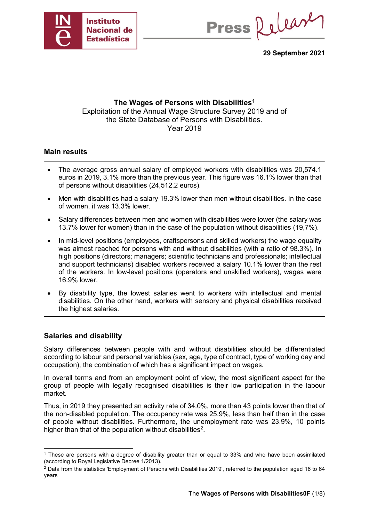

Press Release

**29 September 2021**

### **The Wages of Persons with Disabilities[1](#page-0-0)** Exploitation of the Annual Wage Structure Survey 2019 and of the State Database of Persons with Disabilities. Year 2019

### **Main results**

- The average gross annual salary of employed workers with disabilities was 20,574.1 euros in 2019, 3.1% more than the previous year. This figure was 16.1% lower than that of persons without disabilities (24,512.2 euros).
- Men with disabilities had a salary 19.3% lower than men without disabilities. In the case of women, it was 13.3% lower.
- Salary differences between men and women with disabilities were lower (the salary was 13.7% lower for women) than in the case of the population without disabilities (19,7%).
- In mid-level positions (employees, craftspersons and skilled workers) the wage equality was almost reached for persons with and without disabilities (with a ratio of 98.3%). In high positions (directors; managers; scientific technicians and professionals; intellectual and support technicians) disabled workers received a salary 10.1% lower than the rest of the workers. In low-level positions (operators and unskilled workers), wages were 16.9% lower.
- By disability type, the lowest salaries went to workers with intellectual and mental disabilities. On the other hand, workers with sensory and physical disabilities received the highest salaries.

### **Salaries and disability**

Salary differences between people with and without disabilities should be differentiated according to labour and personal variables (sex, age, type of contract, type of working day and occupation), the combination of which has a significant impact on wages.

In overall terms and from an employment point of view, the most significant aspect for the group of people with legally recognised disabilities is their low participation in the labour market.

Thus, in 2019 they presented an activity rate of 34.0%, more than 43 points lower than that of the non-disabled population. The occupancy rate was 25.9%, less than half than in the case of people without disabilities. Furthermore, the unemployment rate was 23.9%, 10 points higher than that of the population without disabilities<sup>[2](#page-0-1)</sup>.

<span id="page-0-0"></span> <sup>1</sup> These are persons with a degree of disability greater than or equal to 33% and who have been assimilated (according to Royal Legislative Decree 1/2013).

<span id="page-0-1"></span><sup>2</sup> Data from the statistics 'Employment of Persons with Disabilities 2019', referred to the population aged 16 to 64 years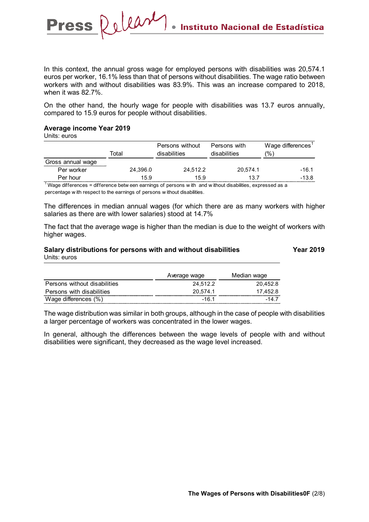In this context, the annual gross wage for employed persons with disabilities was 20,574.1 euros per worker, 16.1% less than that of persons without disabilities. The wage ratio between workers with and without disabilities was 83.9%. This was an increase compared to 2018, when it was 82.7%.

On the other hand, the hourly wage for people with disabilities was 13.7 euros annually, compared to 15.9 euros for people without disabilities.

#### **Average income Year 2019**

Press Release

Units: euros

|                   | Total    | Persons without<br>disabilities | Persons with<br>disabilities | Wage differences<br>(%` |
|-------------------|----------|---------------------------------|------------------------------|-------------------------|
| Gross annual wage |          |                                 |                              |                         |
| Per worker        | 24,396.0 | 24,512.2                        | 20.574.1                     | -16.1                   |
| Per hour          | 15.9     | 15.9                            | 13.7                         | -13.8                   |

 $1$  Wage differences = difference betw een earnings of persons w ith and w ithout disabilities, expressed as a percentage w ith respect to the earnings of persons w ithout disabilities.

The differences in median annual wages (for which there are as many workers with higher salaries as there are with lower salaries) stood at 14.7%

The fact that the average wage is higher than the median is due to the weight of workers with higher wages.

### Salary distributions for persons with and without disabilities **The Vear 2019** Units: euros

|                              | Average wage | Median wage |
|------------------------------|--------------|-------------|
| Persons without disabilities | 24.512.2     | 20.452.8    |
| Persons with disabilities    | 20.574.1     | 17.452.8    |
| Wage differences $(\%)$      | -16.1        | $-147$      |

The wage distribution was similar in both groups, although in the case of people with disabilities a larger percentage of workers was concentrated in the lower wages.

In general, although the differences between the wage levels of people with and without disabilities were significant, they decreased as the wage level increased.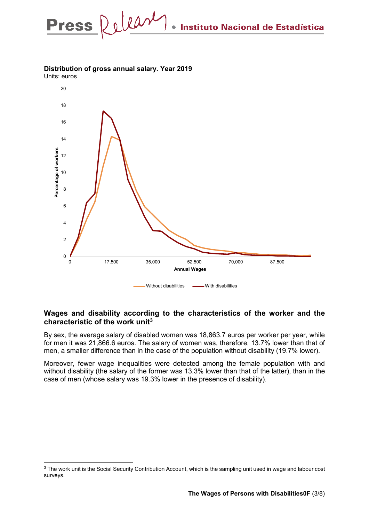## **Distribution of gross annual salary. Year 2019**

Units: euros



### **Wages and disability according to the characteristics of the worker and the characteristic of the work unit[3](#page-2-0)**

By sex, the average salary of disabled women was 18,863.7 euros per worker per year, while for men it was 21,866.6 euros. The salary of women was, therefore, 13.7% lower than that of men, a smaller difference than in the case of the population without disability (19.7% lower).

Moreover, fewer wage inequalities were detected among the female population with and without disability (the salary of the former was 13.3% lower than that of the latter), than in the case of men (whose salary was 19.3% lower in the presence of disability).

<span id="page-2-0"></span><sup>&</sup>lt;sup>3</sup> The work unit is the Social Security Contribution Account, which is the sampling unit used in wage and labour cost surveys.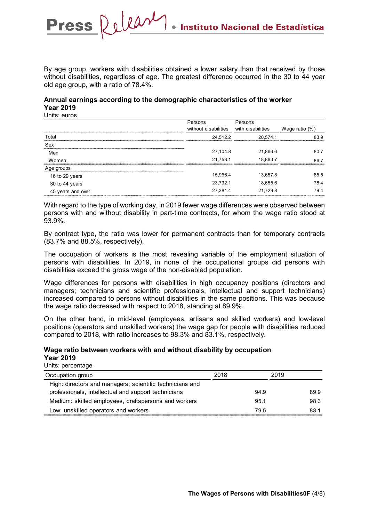By age group, workers with disabilities obtained a lower salary than that received by those without disabilities, regardless of age. The greatest difference occurred in the 30 to 44 year old age group, with a ratio of 78.4%.

### **Annual earnings according to the demographic characteristics of the worker Year 2019**

Units: euros

Press Relear

|                   | Persons              | Persons           |                   |
|-------------------|----------------------|-------------------|-------------------|
|                   | without disabilities | with disabilities | Wage ratio $(\%)$ |
| Total             | 24.512.2             | 20.574.1          | 83.9              |
| Sex               |                      |                   |                   |
| Men               | 27,104.8             | 21,866.6          | 80.7              |
| Women             | 21,758.1             | 18,863.7          | 86.7              |
| Age groups        |                      |                   |                   |
| 16 to 29 years    | 15,966.4             | 13,657.8          | 85.5              |
| 30 to 44 years    | 23.792.1             | 18,655.6          | 78.4              |
| 45 years and over | 27,381.4             | 21,729.8          | 79.4              |

With regard to the type of working day, in 2019 fewer wage differences were observed between persons with and without disability in part-time contracts, for whom the wage ratio stood at 93.9%.

By contract type, the ratio was lower for permanent contracts than for temporary contracts (83.7% and 88.5%, respectively).

The occupation of workers is the most revealing variable of the employment situation of persons with disabilities. In 2019, in none of the occupational groups did persons with disabilities exceed the gross wage of the non-disabled population.

Wage differences for persons with disabilities in high occupancy positions (directors and managers; technicians and scientific professionals, intellectual and support technicians) increased compared to persons without disabilities in the same positions. This was because the wage ratio decreased with respect to 2018, standing at 89.9%.

On the other hand, in mid-level (employees, artisans and skilled workers) and low-level positions (operators and unskilled workers) the wage gap for people with disabilities reduced compared to 2018, with ratio increases to 98.3% and 83.1%, respectively.

### **Wage ratio between workers with and without disability by occupation Year 2019**

Units: percentage

| Occupation group                                         | 2018 |      | 2019 |      |
|----------------------------------------------------------|------|------|------|------|
| High: directors and managers; scientific technicians and |      |      |      |      |
| professionals, intellectual and support technicians      |      | 94.9 |      | 89.9 |
| Medium: skilled employees, craftspersons and workers     |      | 95.1 |      | 98.3 |
| Low: unskilled operators and workers                     |      | 79.5 |      | 83.1 |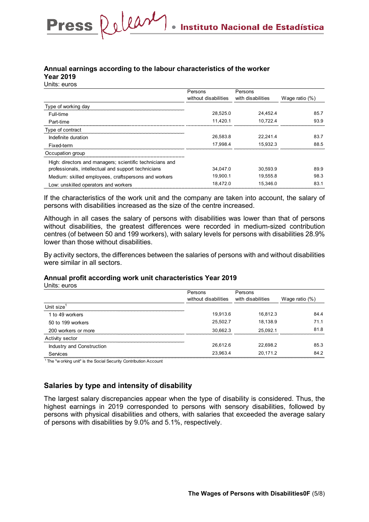### **Annual earnings according to the labour characteristics of the worker Year 2019**

Press Releary

Units: euros

|                                                          | Persons              | Persons           |                   |
|----------------------------------------------------------|----------------------|-------------------|-------------------|
|                                                          | without disabilities | with disabilities | Wage ratio $(\%)$ |
| Type of working day                                      |                      |                   |                   |
| Full-time                                                | 28.525.0             | 24.452.4          | 85.7              |
| Part-time                                                | 11.420.1             | 10.722.4          | 93.9              |
| Type of contract                                         |                      |                   |                   |
| Indefinite duration                                      | 26.583.8             | 22.241.4          | 83.7              |
| Fixed-term                                               | 17.998.4             | 15.932.3          | 88.5              |
| Occupation group                                         |                      |                   |                   |
| High: directors and managers; scientific technicians and |                      |                   |                   |
| professionals, intellectual and support technicians      | 34.047.0             | 30.593.9          | 89.9              |
| Medium: skilled employees, craftspersons and workers     | 19.900.1             | 19.555.8          | 98.3              |
| Low: unskilled operators and workers                     | 18.472.0             | 15.346.0          | 83.1              |

If the characteristics of the work unit and the company are taken into account, the salary of persons with disabilities increased as the size of the centre increased.

Although in all cases the salary of persons with disabilities was lower than that of persons without disabilities, the greatest differences were recorded in medium-sized contribution centres (of between 50 and 199 workers), with salary levels for persons with disabilities 28.9% lower than those without disabilities.

By activity sectors, the differences between the salaries of persons with and without disabilities were similar in all sectors.

### **Annual profit according work unit characteristics Year 2019**

Units: euros

|                           | Persons              | Persons           |                   |
|---------------------------|----------------------|-------------------|-------------------|
|                           | without disabilities | with disabilities | Wage ratio $(\%)$ |
| Unit size $^1$            |                      |                   |                   |
| 1 to 49 workers           | 19.913.6             | 16,812.3          | 84.4              |
| 50 to 199 workers         | 25.502.7             | 18,138.9          | 71.1              |
| 200 workers or more       | 30.662.3             | 25,092.1          | 81.8              |
| Activity sector           |                      |                   |                   |
| Industry and Construction | 26.612.6             | 22,698.2          | 85.3              |
| Services                  | 23.963.4             | 20,171.2          | 84.2              |

<sup>1</sup> The "w orking unit" is the Social Security Contribution Account

### **Salaries by type and intensity of disability**

The largest salary discrepancies appear when the type of disability is considered. Thus, the highest earnings in 2019 corresponded to persons with sensory disabilities, followed by persons with physical disabilities and others, with salaries that exceeded the average salary of persons with disabilities by 9.0% and 5.1%, respectively.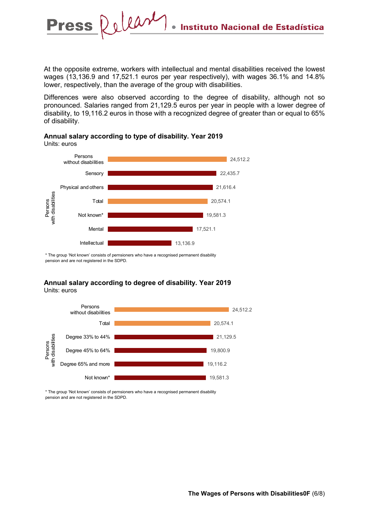At the opposite extreme, workers with intellectual and mental disabilities received the lowest wages (13,136.9 and 17,521.1 euros per year respectively), with wages 36.1% and 14.8% lower, respectively, than the average of the group with disabilities.

Differences were also observed according to the degree of disability, although not so pronounced. Salaries ranged from 21,129.5 euros per year in people with a lower degree of disability, to 19,116.2 euros in those with a recognized degree of greater than or equal to 65% of disability.



#### **Annual salary according to type of disability. Year 2019** Units: euros

Release

**Press** 

\* The group 'Not known' consists of pernsioners who have a recognised permanent disability pension and are not registered in the SDPD.

#### **Annual salary according to degree of disability. Year 2019** Units: euros



\* The group 'Not known' consists of pernsioners who have a recognised permanent disability pension and are not registered in the SDPD.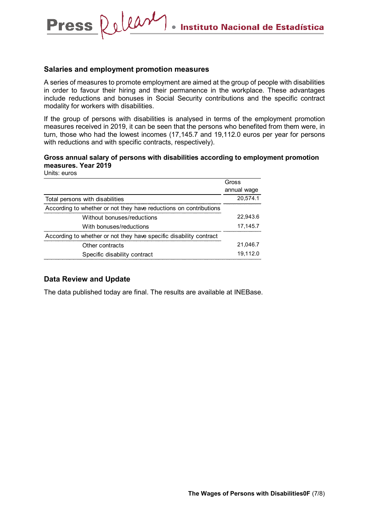### **Salaries and employment promotion measures**

Press Releary

A series of measures to promote employment are aimed at the group of people with disabilities in order to favour their hiring and their permanence in the workplace. These advantages include reductions and bonuses in Social Security contributions and the specific contract modality for workers with disabilities.

If the group of persons with disabilities is analysed in terms of the employment promotion measures received in 2019, it can be seen that the persons who benefited from them were, in turn, those who had the lowest incomes (17,145.7 and 19,112.0 euros per year for persons with reductions and with specific contracts, respectively).

### **Gross annual salary of persons with disabilities according to employment promotion measures. Year 2019**

Units: euros

|                                                                    | Gross       |
|--------------------------------------------------------------------|-------------|
|                                                                    | annual wage |
| Total persons with disabilities                                    | 20,574.1    |
| According to whether or not they have reductions on contributions  |             |
| Without bonuses/reductions                                         | 22.943.6    |
| With bonuses/reductions                                            | 17,145.7    |
| According to whether or not they have specific disability contract |             |
| Other contracts                                                    | 21.046.7    |
| Specific disability contract                                       | 19.112.0    |

### **Data Review and Update**

The data published today are final. The results are available at INEBase.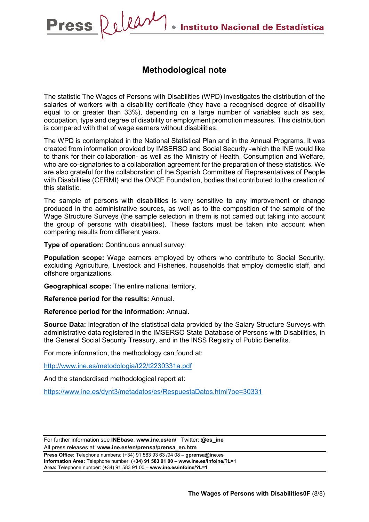## **Methodological note**

The statistic The Wages of Persons with Disabilities (WPD) investigates the distribution of the salaries of workers with a disability certificate (they have a recognised degree of disability equal to or greater than 33%), depending on a large number of variables such as sex, occupation, type and degree of disability or employment promotion measures. This distribution is compared with that of wage earners without disabilities.

The WPD is contemplated in the National Statistical Plan and in the Annual Programs. It was created from information provided by IMSERSO and Social Security -which the INE would like to thank for their collaboration- as well as the Ministry of Health, Consumption and Welfare, who are co-signatories to a collaboration agreement for the preparation of these statistics. We are also grateful for the collaboration of the Spanish Committee of Representatives of People with Disabilities (CERMI) and the ONCE Foundation, bodies that contributed to the creation of this statistic.

The sample of persons with disabilities is very sensitive to any improvement or change produced in the administrative sources, as well as to the composition of the sample of the Wage Structure Surveys (the sample selection in them is not carried out taking into account the group of persons with disabilities). These factors must be taken into account when comparing results from different years.

**Type of operation:** Continuous annual survey.

**Population scope:** Wage earners employed by others who contribute to Social Security, excluding Agriculture, Livestock and Fisheries, households that employ domestic staff, and offshore organizations.

**Geographical scope:** The entire national territory.

**Reference period for the results:** Annual.

**Reference period for the information:** Annual.

**Source Data:** integration of the statistical data provided by the Salary Structure Surveys with administrative data registered in the IMSERSO State Database of Persons with Disabilities, in the General Social Security Treasury, and in the INSS Registry of Public Benefits.

For more information, the methodology can found at:

<http://www.ine.es/metodologia/t22/t2230331a.pdf>

And the standardised methodological report at:

<https://www.ine.es/dynt3/metadatos/es/RespuestaDatos.html?oe=30331>

For further information see **INEbase**: **www.ine.es/en/** Twitter: **@es\_ine** All press releases at: **www.ine.es/en/prensa/prensa\_en.htm**

**Press Office:** Telephone numbers: (+34) 91 583 93 63 /94 08 – **gprensa@ine.es Information Area:** Telephone number: **(+34) 91 583 91 00 – www.ine.es/infoine/?L=1 Area:** Telephone number: (+34) 91 583 91 00 – **www.ine.es/infoine/?L=1**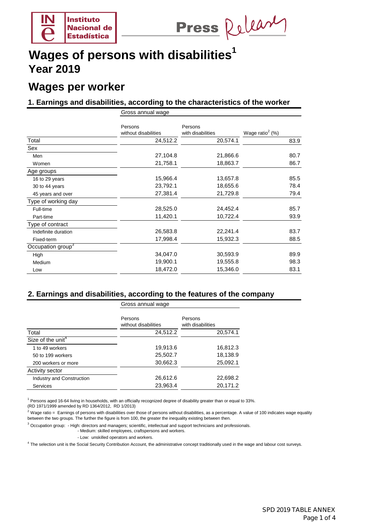

Press Release

## **Wages per worker**

### **1. Earnings and disabilities, according to the characteristics of the worker**

|                               | Gross annual wage               |                              |                             |  |
|-------------------------------|---------------------------------|------------------------------|-----------------------------|--|
|                               | Persons<br>without disabilities | Persons<br>with disabilities | Wage ratio <sup>2</sup> (%) |  |
| Total                         | 24,512.2                        | 20,574.1                     | 83.9                        |  |
| Sex                           |                                 |                              |                             |  |
| Men                           | 27,104.8                        | 21,866.6                     | 80.7                        |  |
| Women                         | 21,758.1                        | 18,863.7                     | 86.7                        |  |
| Age groups                    |                                 |                              |                             |  |
| 16 to 29 years                | 15,966.4                        | 13,657.8                     | 85.5                        |  |
| 30 to 44 years                | 23,792.1                        | 18,655.6                     | 78.4                        |  |
| 45 years and over             | 27,381.4                        | 21,729.8                     | 79.4                        |  |
| Type of working day           |                                 |                              |                             |  |
| Full-time                     | 28,525.0                        | 24,452.4                     | 85.7                        |  |
| Part-time                     | 11,420.1                        | 10,722.4                     | 93.9                        |  |
| Type of contract              |                                 |                              |                             |  |
| Indefinite duration           | 26,583.8                        | 22,241.4                     | 83.7                        |  |
| Fixed-term                    | 17,998.4                        | 15,932.3                     | 88.5                        |  |
| Occupation group <sup>3</sup> |                                 |                              |                             |  |
| High                          | 34,047.0                        | 30,593.9                     | 89.9                        |  |
| Medium                        | 19,900.1                        | 19,555.8                     | 98.3                        |  |
| Low                           | 18,472.0                        | 15,346.0                     | 83.1                        |  |

### **2. Earnings and disabilities, according to the features of the company**

|                               | Gross annual wage               |                              |  |
|-------------------------------|---------------------------------|------------------------------|--|
|                               | Persons<br>without disabilities | Persons<br>with disabilities |  |
| Total                         | 24,512.2                        | 20,574.1                     |  |
| Size of the unit <sup>4</sup> |                                 |                              |  |
| 1 to 49 workers               | 19,913.6                        | 16,812.3                     |  |
| 50 to 199 workers             | 25,502.7                        | 18,138.9                     |  |
| 200 workers or more           | 30,662.3                        | 25,092.1                     |  |
| Activity sector               |                                 |                              |  |
| Industry and Construction     | 26,612.6                        | 22,698.2                     |  |
| <b>Services</b>               | 23,963.4                        | 20,171.2                     |  |

<sup>1</sup> Persons aged 16-64 living in households, with an officially recognized degree of disability greater than or equal to 33%.

(RD 1971/1999 amended by RD 1364/2012, RD 1/2013)

between the two groups. The further the figure is from 100, the greater the inequality existing between then.  $^2$  Wage ratio = Earnings of persons with disabilities over those of persons without disabilities, as a percentage. A value of 100 indicates wage equality

 $3$  Occupation group:  $-$  High: directors and managers; scientific, intellectual and support technicians and professionals.

- Medium: skilled employees, craftspersons and workers.
- Low: unskilled operators and workers.

<sup>4</sup> The selection unit is the Social Security Contribution Account, the administrative concept traditionally used in the wage and labour cost surveys.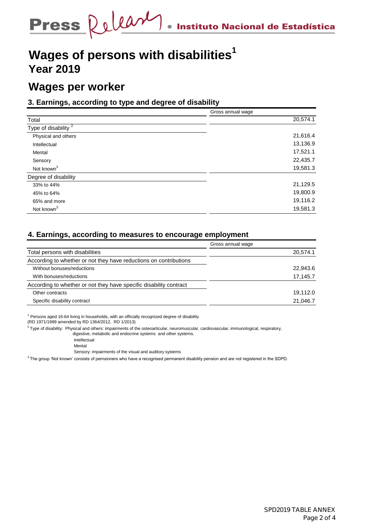# **Wages per worker**

### **3. Earnings, according to type and degree of disability**

|                               | Gross annual wage |
|-------------------------------|-------------------|
| Total                         | 20,574.1          |
| Type of disability $\sqrt{2}$ |                   |
| Physical and others           | 21,616.4          |
| Intellectual                  | 13,136.9          |
| Mental                        | 17,521.1          |
| Sensory                       | 22,435.7          |
| Not known <sup>3</sup>        | 19,581.3          |
| Degree of disability          |                   |
| 33% to 44%                    | 21,129.5          |
| 45% to 64%                    | 19,800.9          |
| 65% and more                  | 19,116.2          |
| Not known <sup>3</sup>        | 19,581.3          |

### **4. Earnings, according to measures to encourage employment**

|                                                                    | Gross annual wage |
|--------------------------------------------------------------------|-------------------|
| Total persons with disabilities                                    | 20,574.1          |
| According to whether or not they have reductions on contributions  |                   |
| Without bonuses/reductions                                         | 22,943.6          |
| With bonuses/reductions                                            | 17,145.7          |
| According to whether or not they have specific disability contract |                   |
| Other contracts                                                    | 19.112.0          |
| Specific disability contract                                       | 21.046.7          |

 $1$  Persons aged 16-64 living in households, with an officially recognized degree of disability

(RD 1971/1999 amended by RD 1364/2012, RD 1/2013)

 $2$  Type of disability: Physical and others: impairments of the osteoarticular, neuromuscular, cardiovascular, immunological, respiratory,

digestive, metabolic and endocrine systems and other systems.

Intellectual

**Mental** 

Sensory: impairments of the visual and auditory systems

 $3$  The group 'Not known' consists of pernsioners who have a recognised permanent disability pension and are not registered in the SDPD.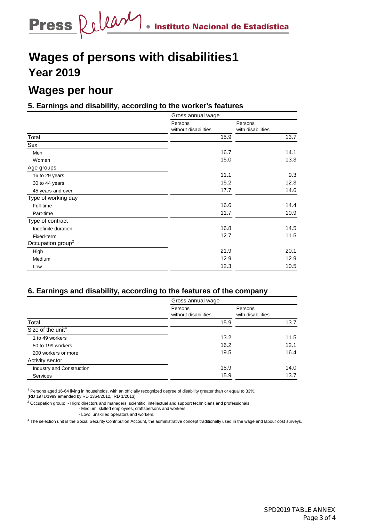# **Wages per hour**

## **5. Earnings and disability, according to the worker's features**

|                               | Gross annual wage               |                              |  |
|-------------------------------|---------------------------------|------------------------------|--|
|                               | Persons<br>without disabilities | Persons<br>with disabilities |  |
| Total                         | 15.9                            | 13.7                         |  |
| Sex                           |                                 |                              |  |
| Men                           | 16.7                            | 14.1                         |  |
| Women                         | 15.0                            | 13.3                         |  |
| Age groups                    |                                 |                              |  |
| 16 to 29 years                | 11.1                            | 9.3                          |  |
| 30 to 44 years                | 15.2                            | 12.3                         |  |
| 45 years and over             | 17.7                            | 14.6                         |  |
| Type of working day           |                                 |                              |  |
| Full-time                     | 16.6                            | 14.4                         |  |
| Part-time                     | 11.7                            | 10.9                         |  |
| Type of contract              |                                 |                              |  |
| Indefinite duration           | 16.8                            | 14.5                         |  |
| Fixed-term                    | 12.7                            | 11.5                         |  |
| Occupation group <sup>2</sup> |                                 |                              |  |
| High                          | 21.9                            | 20.1                         |  |
| Medium                        | 12.9                            | 12.9                         |  |
| Low                           | 12.3                            | 10.5                         |  |

### **6. Earnings and disability, according to the features of the company**

|                               | Gross annual wage               |                              |
|-------------------------------|---------------------------------|------------------------------|
|                               | Persons<br>without disabilities | Persons<br>with disabilities |
| Total                         | 15.9                            | 13.7                         |
| Size of the unit <sup>3</sup> |                                 |                              |
| 1 to 49 workers               | 13.2                            | 11.5                         |
| 50 to 199 workers             | 16.2                            | 12.1                         |
| 200 workers or more           | 16.4<br>19.5                    |                              |
| Activity sector               |                                 |                              |
| Industry and Construction     | 15.9                            | 14.0                         |
| <b>Services</b>               | 15.9                            | 13.7                         |

<sup>1</sup> Persons aged 16-64 living in households, with an officially recognized degree of disability greater than or equal to 33%.

(RD 1971/1999 amended by RD 1364/2012, RD 1/2013)

 $3$  Occupation group:  $-$  High: directors and managers; scientific, intellectual and support technicians and professionals.

- Medium: skilled employees, craftspersons and workers.

- Low: unskilled operators and workers.

 $3$  The selection unit is the Social Security Contribution Account, the administrative concept traditionally used in the wage and labour cost surveys.